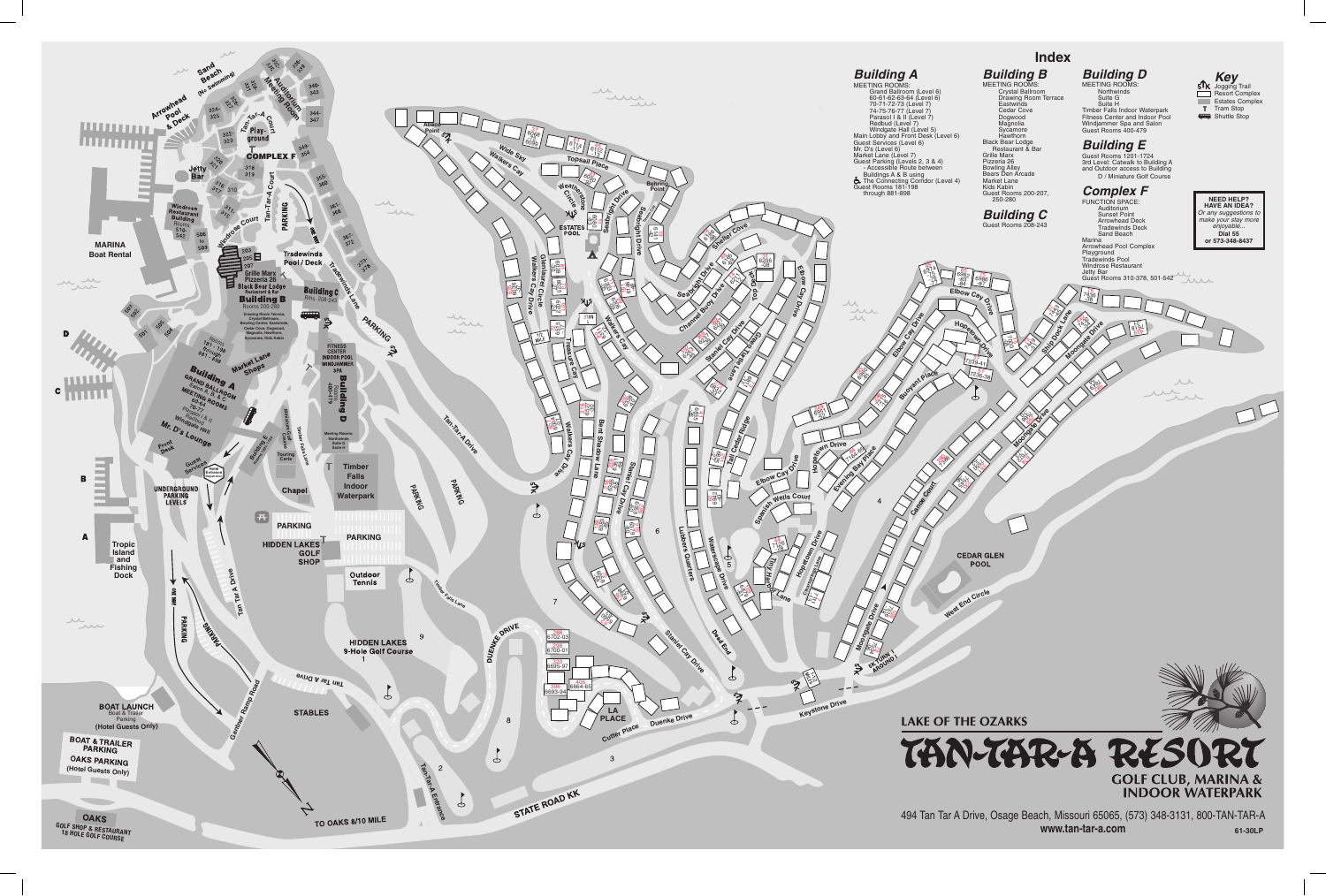